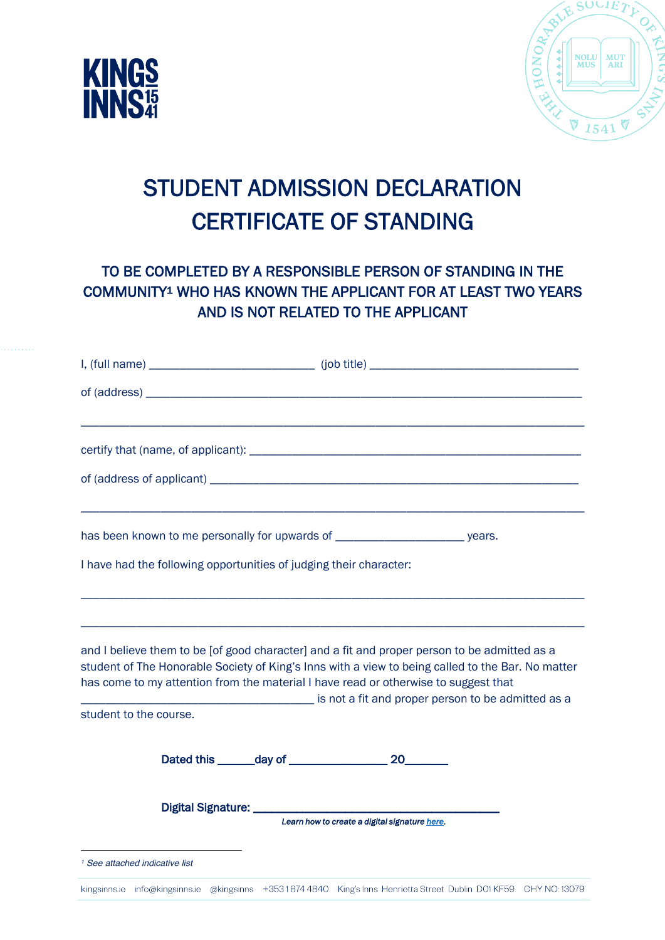



## STUDENT ADMISSION DECLARATION CERTIFICATE OF STANDING

## TO BE COMPLETED BY A RESPONSIBLE PERSON OF STANDING IN THE COMMUNITY1 WHO HAS KNOWN THE APPLICANT FOR AT LEAST TWO YEARS AND IS NOT RELATED TO THE APPLICANT

|                                                                    | has been known to me personally for upwards of _________________________________ years.                                                                                                                                                                                                                                                        |
|--------------------------------------------------------------------|------------------------------------------------------------------------------------------------------------------------------------------------------------------------------------------------------------------------------------------------------------------------------------------------------------------------------------------------|
| I have had the following opportunities of judging their character: |                                                                                                                                                                                                                                                                                                                                                |
|                                                                    |                                                                                                                                                                                                                                                                                                                                                |
|                                                                    | and I believe them to be [of good character] and a fit and proper person to be admitted as a<br>student of The Honorable Society of King's Inns with a view to being called to the Bar. No matter<br>has come to my attention from the material I have read or otherwise to suggest that<br>is not a fit and proper person to be admitted as a |
| student to the course.                                             |                                                                                                                                                                                                                                                                                                                                                |
|                                                                    |                                                                                                                                                                                                                                                                                                                                                |
|                                                                    | Learn how to create a digital signature here.                                                                                                                                                                                                                                                                                                  |
| <sup>1</sup> See attached indicative list                          |                                                                                                                                                                                                                                                                                                                                                |
|                                                                    | kingsinns.je info@kingsinns.je @kingsinns +35318744840 King's Inns Henrietta Street Dublin D01KF59 CHY NO:13079                                                                                                                                                                                                                                |